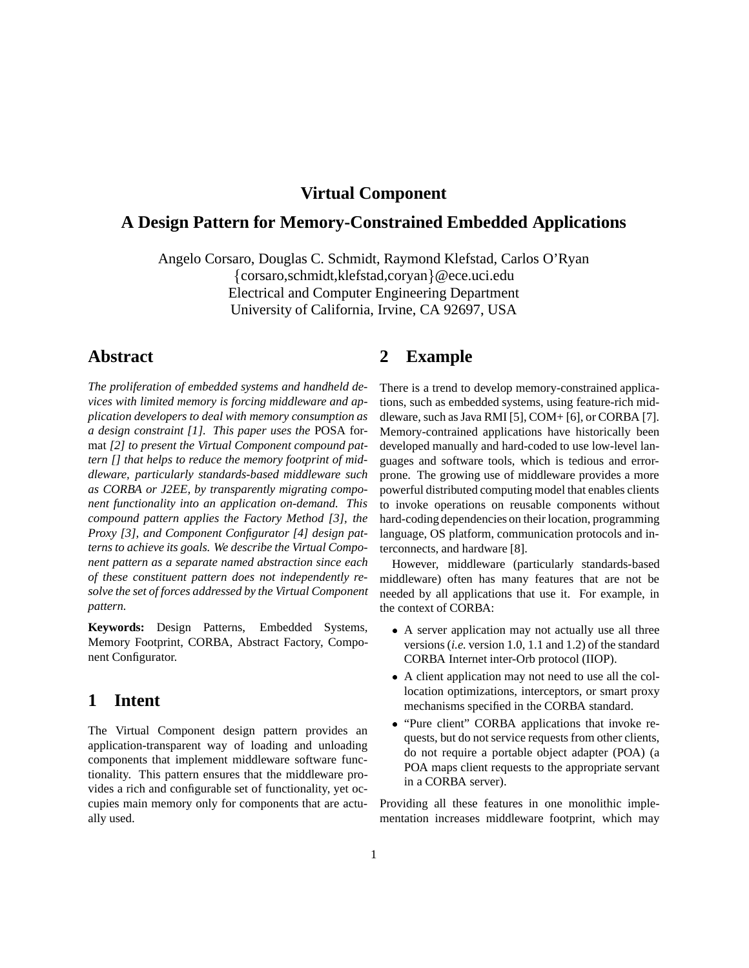### **Virtual Component**

# **A Design Pattern for Memory-Constrained Embedded Applications**

Angelo Corsaro, Douglas C. Schmidt, Raymond Klefstad, Carlos O'Ryan {corsaro,schmidt,klefstad,coryan}@ece.uci.edu Electrical and Computer Engineering Department University of California, Irvine, CA 92697, USA

### **Abstract**

*The proliferation of embedded systems and handheld devices with limited memory is forcing middleware and application developers to deal with memory consumption as a design constraint [1]. This paper uses the* POSA format *[2] to present the Virtual Component compound pattern [] that helps to reduce the memory footprint of middleware, particularly standards-based middleware such as CORBA or J2EE, by transparently migrating component functionality into an application on-demand. This compound pattern applies the Factory Method [3], the Proxy [3], and Component Configurator [4] design patterns to achieve its goals. We describe the Virtual Component pattern as a separate named abstraction since each of these constituent pattern does not independently resolve the set of forces addressed by the Virtual Component pattern.*

**Keywords:** Design Patterns, Embedded Systems, Memory Footprint, CORBA, Abstract Factory, Component Configurator.

#### **1 Intent**

The Virtual Component design pattern provides an application-transparent way of loading and unloading components that implement middleware software functionality. This pattern ensures that the middleware provides a rich and configurable set of functionality, yet occupies main memory only for components that are actually used.

## **2 Example**

There is a trend to develop memory-constrained applications, such as embedded systems, using feature-rich middleware, such as Java RMI [5], COM+ [6], or CORBA [7]. Memory-contrained applications have historically been developed manually and hard-coded to use low-level languages and software tools, which is tedious and errorprone. The growing use of middleware provides a more powerful distributed computing model that enables clients to invoke operations on reusable components without hard-coding dependencies on their location, programming language, OS platform, communication protocols and interconnects, and hardware [8].

However, middleware (particularly standards-based middleware) often has many features that are not be needed by all applications that use it. For example, in the context of CORBA:

- A server application may not actually use all three versions (*i.e.* version 1.0, 1.1 and 1.2) of the standard CORBA Internet inter-Orb protocol (IIOP).
- A client application may not need to use all the collocation optimizations, interceptors, or smart proxy mechanisms specified in the CORBA standard.
- "Pure client" CORBA applications that invoke requests, but do not service requests from other clients, do not require a portable object adapter (POA) (a POA maps client requests to the appropriate servant in a CORBA server).

Providing all these features in one monolithic implementation increases middleware footprint, which may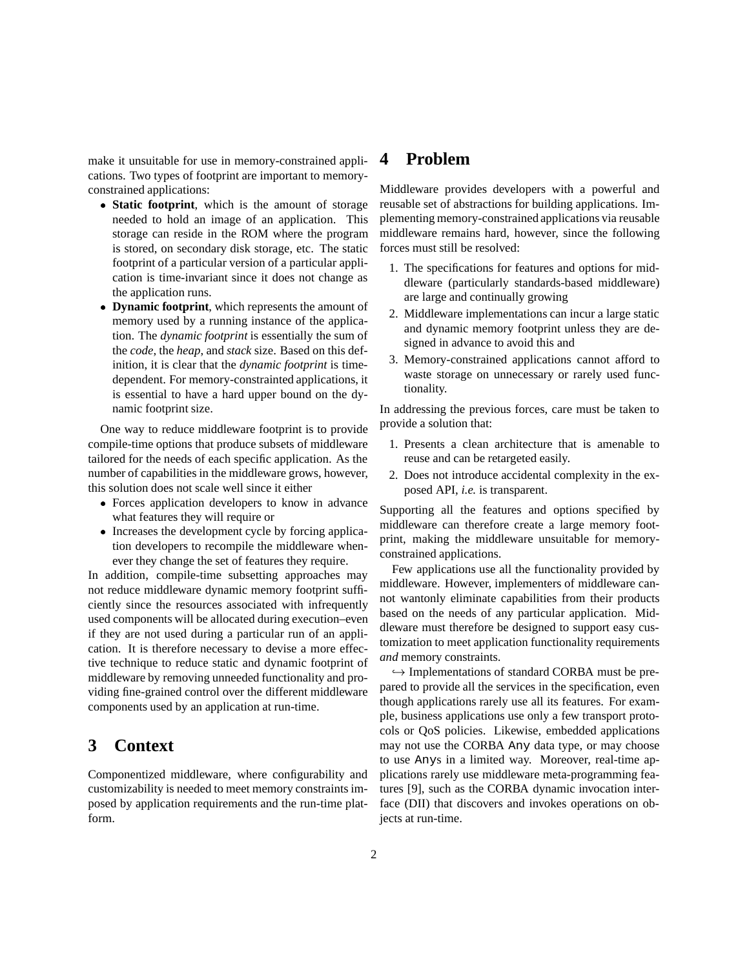make it unsuitable for use in memory-constrained applications. Two types of footprint are important to memoryconstrained applications:

- **Static footprint**, which is the amount of storage needed to hold an image of an application. This storage can reside in the ROM where the program is stored, on secondary disk storage, etc. The static footprint of a particular version of a particular application is time-invariant since it does not change as the application runs.
- **Dynamic footprint**, which represents the amount of memory used by a running instance of the application. The *dynamic footprint* is essentially the sum of the *code*, the *heap*, and *stack* size. Based on this definition, it is clear that the *dynamic footprint* is timedependent. For memory-constrainted applications, it is essential to have a hard upper bound on the dynamic footprint size.

One way to reduce middleware footprint is to provide compile-time options that produce subsets of middleware tailored for the needs of each specific application. As the number of capabilities in the middleware grows, however, this solution does not scale well since it either

- Forces application developers to know in advance what features they will require or
- Increases the development cycle by forcing application developers to recompile the middleware whenever they change the set of features they require.

In addition, compile-time subsetting approaches may not reduce middleware dynamic memory footprint sufficiently since the resources associated with infrequently used components will be allocated during execution–even if they are not used during a particular run of an application. It is therefore necessary to devise a more effective technique to reduce static and dynamic footprint of middleware by removing unneeded functionality and providing fine-grained control over the different middleware components used by an application at run-time.

## **3 Context**

Componentized middleware, where configurability and customizability is needed to meet memory constraints imposed by application requirements and the run-time platform.

### **4 Problem**

Middleware provides developers with a powerful and reusable set of abstractions for building applications. Implementing memory-constrained applications via reusable middleware remains hard, however, since the following forces must still be resolved:

- 1. The specifications for features and options for middleware (particularly standards-based middleware) are large and continually growing
- 2. Middleware implementations can incur a large static and dynamic memory footprint unless they are designed in advance to avoid this and
- 3. Memory-constrained applications cannot afford to waste storage on unnecessary or rarely used functionality.

In addressing the previous forces, care must be taken to provide a solution that:

- 1. Presents a clean architecture that is amenable to reuse and can be retargeted easily.
- 2. Does not introduce accidental complexity in the exposed API, *i.e.* is transparent.

Supporting all the features and options specified by middleware can therefore create a large memory footprint, making the middleware unsuitable for memoryconstrained applications.

Few applications use all the functionality provided by middleware. However, implementers of middleware cannot wantonly eliminate capabilities from their products based on the needs of any particular application. Middleware must therefore be designed to support easy customization to meet application functionality requirements *and* memory constraints.

 $\hookrightarrow$  Implementations of standard CORBA must be prepared to provide all the services in the specification, even though applications rarely use all its features. For example, business applications use only a few transport protocols or QoS policies. Likewise, embedded applications may not use the CORBA Any data type, or may choose to use Anys in a limited way. Moreover, real-time applications rarely use middleware meta-programming features [9], such as the CORBA dynamic invocation interface (DII) that discovers and invokes operations on objects at run-time.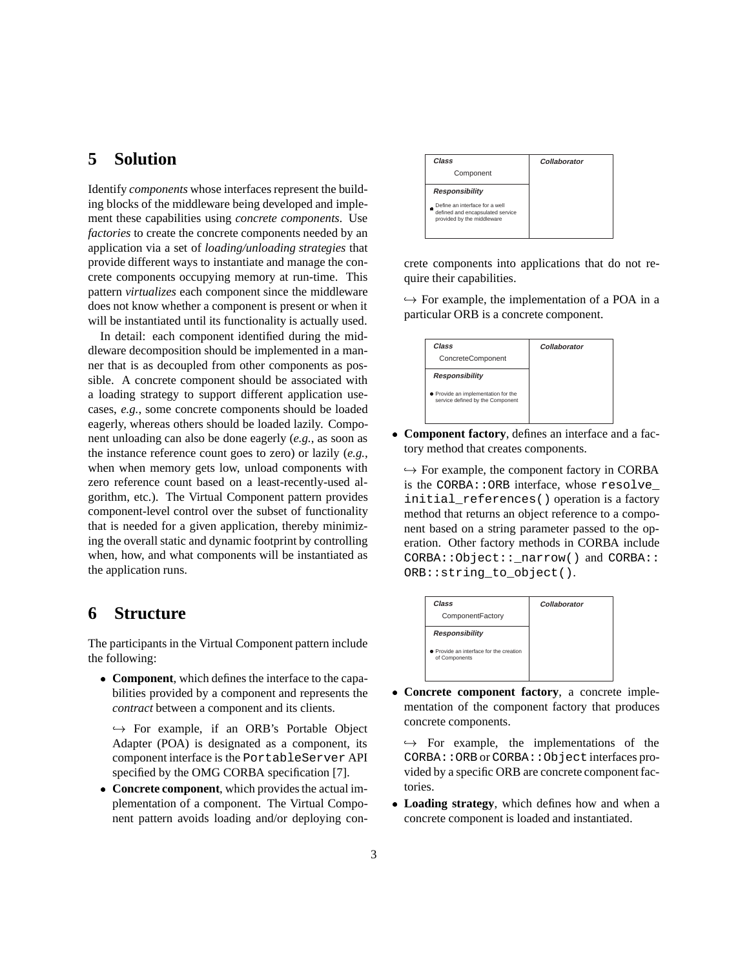### **5 Solution**

Identify *components* whose interfaces represent the building blocks of the middleware being developed and implement these capabilities using *concrete components*. Use *factories* to create the concrete components needed by an application via a set of *loading/unloading strategies* that provide different ways to instantiate and manage the concrete components occupying memory at run-time. This pattern *virtualizes* each component since the middleware does not know whether a component is present or when it will be instantiated until its functionality is actually used.

In detail: each component identified during the middleware decomposition should be implemented in a manner that is as decoupled from other components as possible. A concrete component should be associated with a loading strategy to support different application usecases, *e.g.*, some concrete components should be loaded eagerly, whereas others should be loaded lazily. Component unloading can also be done eagerly (*e.g.*, as soon as the instance reference count goes to zero) or lazily (*e.g.*, when when memory gets low, unload components with zero reference count based on a least-recently-used algorithm, etc.). The Virtual Component pattern provides component-level control over the subset of functionality that is needed for a given application, thereby minimizing the overall static and dynamic footprint by controlling when, how, and what components will be instantiated as the application runs.

### **6 Structure**

The participants in the Virtual Component pattern include the following:

 **Component**, which defines the interface to the capabilities provided by a component and represents the *contract* between a component and its clients.

 $\hookrightarrow$  For example, if an ORB's Portable Object Adapter (POA) is designated as a component, its component interface is the PortableServer API specified by the OMG CORBA specification [7].

 **Concrete component**, which provides the actual implementation of a component. The Virtual Component pattern avoids loading and/or deploying con-



crete components into applications that do not require their capabilities.

 $\hookrightarrow$  For example, the implementation of a POA in a particular ORB is a concrete component.



 **Component factory**, defines an interface and a factory method that creates components.

 $\hookrightarrow$  For example, the component factory in CORBA is the CORBA::ORB interface, whose resolve\_ initial\_references() operation is a factory method that returns an object reference to a component based on a string parameter passed to the operation. Other factory methods in CORBA include CORBA::Object::\_narrow() and CORBA:: ORB::string\_to\_object().



 **Concrete component factory**, a concrete implementation of the component factory that produces concrete components.

 $\leftrightarrow$  For example, the implementations of the CORBA::ORB or CORBA::Object interfaces provided by a specific ORB are concrete component factories.

 **Loading strategy**, which defines how and when a concrete component is loaded and instantiated.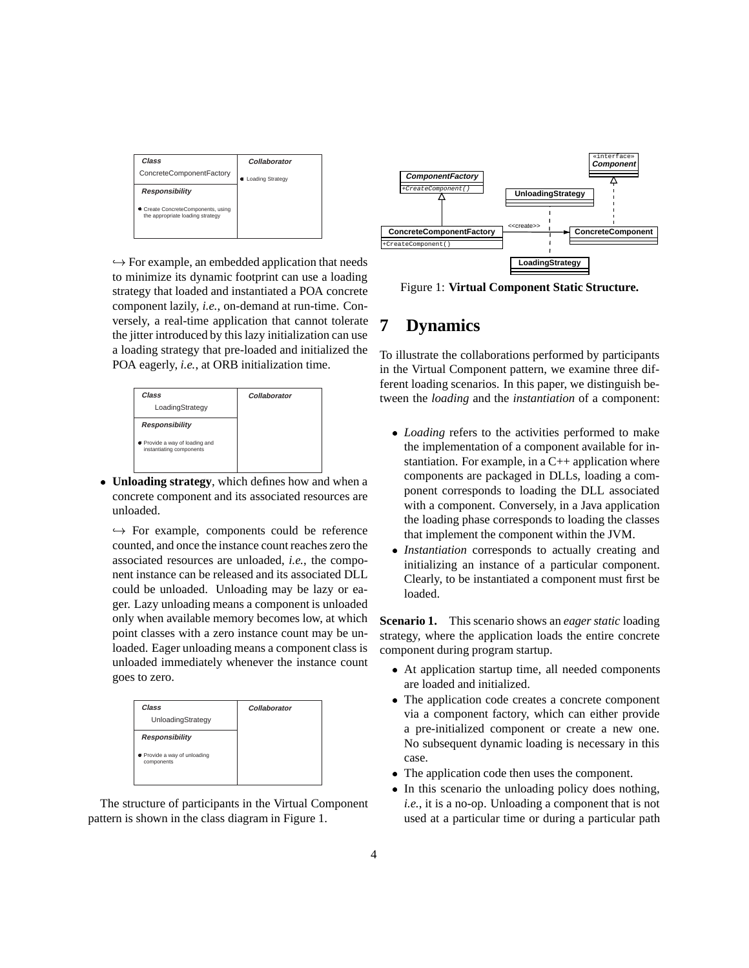

 $\hookrightarrow$  For example, an embedded application that needs to minimize its dynamic footprint can use a loading strategy that loaded and instantiated a POA concrete component lazily, *i.e.*, on-demand at run-time. Conversely, a real-time application that cannot tolerate the jitter introduced by this lazy initialization can use a loading strategy that pre-loaded and initialized the POA eagerly, *i.e.*, at ORB initialization time.



 **Unloading strategy**, which defines how and when a concrete component and its associated resources are unloaded.

 $\hookrightarrow$  For example, components could be reference counted, and once the instance count reaches zero the associated resources are unloaded, *i.e.*, the component instance can be released and its associated DLL could be unloaded. Unloading may be lazy or eager. Lazy unloading means a component is unloaded only when available memory becomes low, at which point classes with a zero instance count may be unloaded. Eager unloading means a component class is unloaded immediately whenever the instance count goes to zero.



The structure of participants in the Virtual Component pattern is shown in the class diagram in Figure 1.



Figure 1: **Virtual Component Static Structure.**

# **7 Dynamics**

To illustrate the collaborations performed by participants in the Virtual Component pattern, we examine three different loading scenarios. In this paper, we distinguish between the *loading* and the *instantiation* of a component:

- *Loading* refers to the activities performed to make the implementation of a component available for instantiation. For example, in a  $C_{++}$  application where components are packaged in DLLs, loading a component corresponds to loading the DLL associated with a component. Conversely, in a Java application the loading phase corresponds to loading the classes that implement the component within the JVM.
- *Instantiation* corresponds to actually creating and initializing an instance of a particular component. Clearly, to be instantiated a component must first be loaded.

**Scenario 1.** This scenario shows an *eager static* loading strategy, where the application loads the entire concrete component during program startup.

- At application startup time, all needed components are loaded and initialized.
- The application code creates a concrete component via a component factory, which can either provide a pre-initialized component or create a new one. No subsequent dynamic loading is necessary in this case.
- The application code then uses the component.
- In this scenario the unloading policy does nothing, *i.e.*, it is a no-op. Unloading a component that is not used at a particular time or during a particular path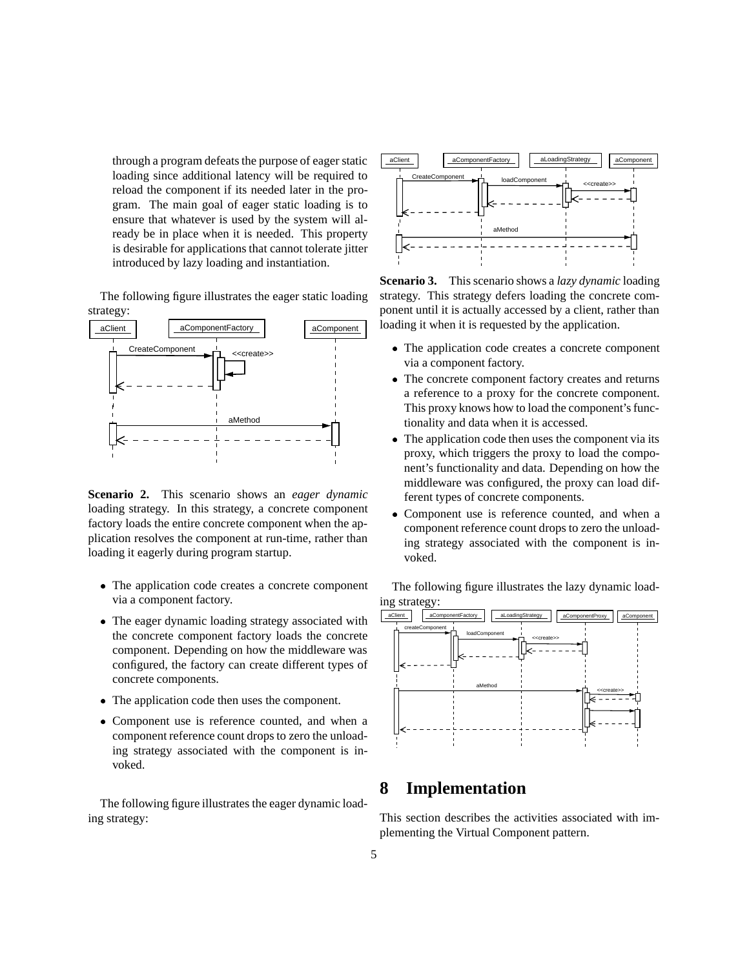through a program defeats the purpose of eager static loading since additional latency will be required to reload the component if its needed later in the program. The main goal of eager static loading is to ensure that whatever is used by the system will already be in place when it is needed. This property is desirable for applications that cannot tolerate jitter introduced by lazy loading and instantiation.

The following figure illustrates the eager static loading strategy:



**Scenario 2.** This scenario shows an *eager dynamic* loading strategy. In this strategy, a concrete component factory loads the entire concrete component when the application resolves the component at run-time, rather than loading it eagerly during program startup.

- The application code creates a concrete component via a component factory.
- The eager dynamic loading strategy associated with the concrete component factory loads the concrete component. Depending on how the middleware was configured, the factory can create different types of concrete components.
- The application code then uses the component.
- Component use is reference counted, and when a component reference count drops to zero the unloading strategy associated with the component is invoked.

The following figure illustrates the eager dynamic loading strategy:



**Scenario 3.** This scenario shows a *lazy dynamic* loading strategy. This strategy defers loading the concrete component until it is actually accessed by a client, rather than loading it when it is requested by the application.

- The application code creates a concrete component via a component factory.
- The concrete component factory creates and returns a reference to a proxy for the concrete component. This proxy knows how to load the component's functionality and data when it is accessed.
- The application code then uses the component via its proxy, which triggers the proxy to load the component's functionality and data. Depending on how the middleware was configured, the proxy can load different types of concrete components.
- Component use is reference counted, and when a component reference count drops to zero the unloading strategy associated with the component is invoked.

The following figure illustrates the lazy dynamic loading strategy:



## **8 Implementation**

This section describes the activities associated with implementing the Virtual Component pattern.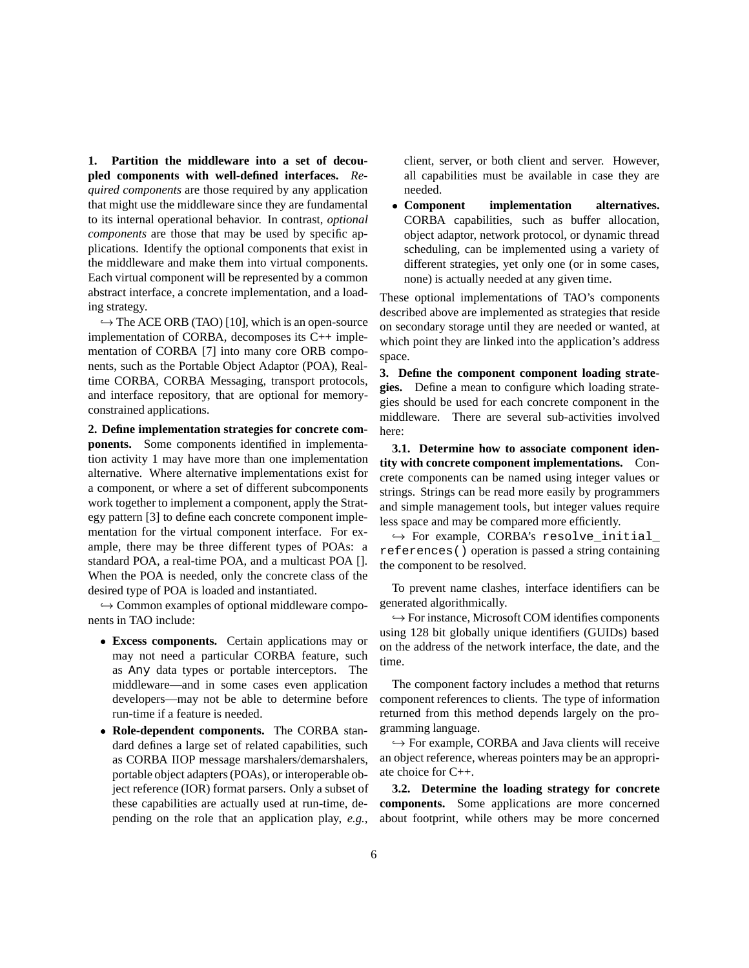**1. Partition the middleware into a set of decoupled components with well-defined interfaces.** *Required components* are those required by any application that might use the middleware since they are fundamental to its internal operational behavior. In contrast, *optional components* are those that may be used by specific applications. Identify the optional components that exist in the middleware and make them into virtual components. Each virtual component will be represented by a common abstract interface, a concrete implementation, and a loading strategy.

 $\hookrightarrow$  The ACE ORB (TAO) [10], which is an open-source implementation of CORBA, decomposes its C++ implementation of CORBA [7] into many core ORB components, such as the Portable Object Adaptor (POA), Realtime CORBA, CORBA Messaging, transport protocols, and interface repository, that are optional for memoryconstrained applications.

**2. Define implementation strategies for concrete components.** Some components identified in implementation activity 1 may have more than one implementation alternative. Where alternative implementations exist for a component, or where a set of different subcomponents work together to implement a component, apply the Strategy pattern [3] to define each concrete component implementation for the virtual component interface. For example, there may be three different types of POAs: a standard POA, a real-time POA, and a multicast POA []. When the POA is needed, only the concrete class of the desired type of POA is loaded and instantiated.

 $\hookrightarrow$  Common examples of optional middleware components in TAO include:

- **Excess components.** Certain applications may or may not need a particular CORBA feature, such as Any data types or portable interceptors. The middleware—and in some cases even application developers—may not be able to determine before run-time if a feature is needed.
- **Role-dependent components.** The CORBA standard defines a large set of related capabilities, such as CORBA IIOP message marshalers/demarshalers, portable object adapters (POAs), or interoperable object reference (IOR) format parsers. Only a subset of these capabilities are actually used at run-time, depending on the role that an application play, *e.g.*,

client, server, or both client and server. However, all capabilities must be available in case they are needed.

 **Component implementation alternatives.** CORBA capabilities, such as buffer allocation, object adaptor, network protocol, or dynamic thread scheduling, can be implemented using a variety of different strategies, yet only one (or in some cases, none) is actually needed at any given time.

These optional implementations of TAO's components described above are implemented as strategies that reside on secondary storage until they are needed or wanted, at which point they are linked into the application's address space.

**3. Define the component component loading strategies.** Define a mean to configure which loading strategies should be used for each concrete component in the middleware. There are several sub-activities involved here:

**3.1. Determine how to associate component identity with concrete component implementations.** Concrete components can be named using integer values or strings. Strings can be read more easily by programmers and simple management tools, but integer values require less space and may be compared more efficiently.

 $\hookrightarrow$  For example, CORBA's resolve initial references() operation is passed a string containing the component to be resolved.

To prevent name clashes, interface identifiers can be generated algorithmically.

 $\hookrightarrow$  For instance, Microsoft COM identifies components using 128 bit globally unique identifiers (GUIDs) based on the address of the network interface, the date, and the time.

The component factory includes a method that returns component references to clients. The type of information returned from this method depends largely on the programming language.

 $\hookrightarrow$  For example, CORBA and Java clients will receive an object reference, whereas pointers may be an appropriate choice for C++.

**3.2. Determine the loading strategy for concrete components.** Some applications are more concerned about footprint, while others may be more concerned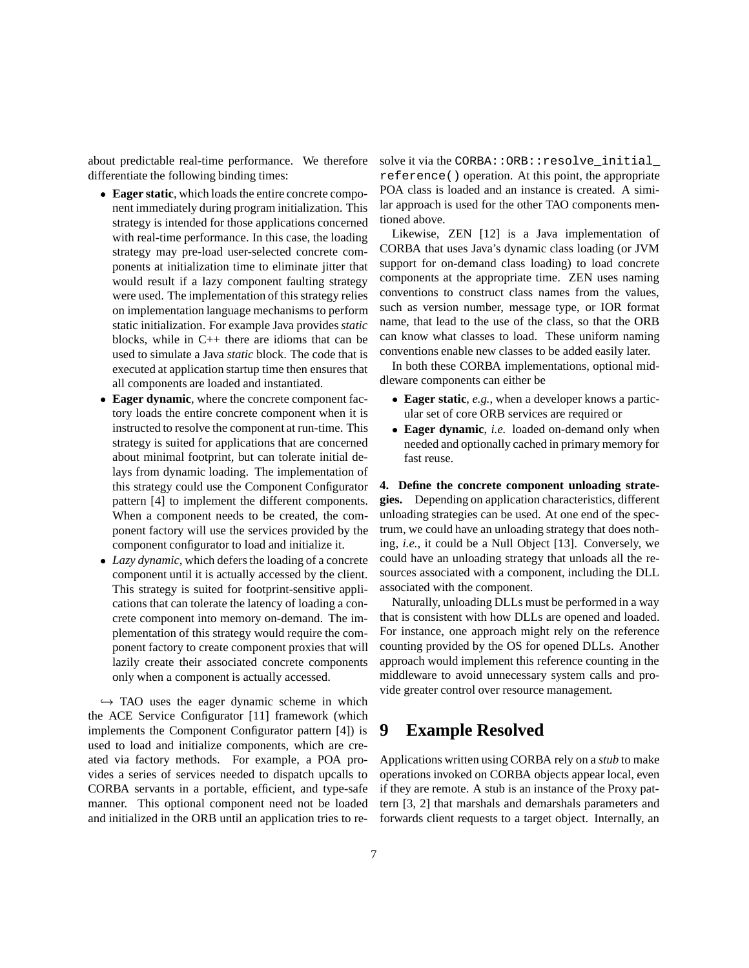about predictable real-time performance. We therefore differentiate the following binding times:

- **Eager static**, which loads the entire concrete component immediately during program initialization. This strategy is intended for those applications concerned with real-time performance. In this case, the loading strategy may pre-load user-selected concrete components at initialization time to eliminate jitter that would result if a lazy component faulting strategy were used. The implementation of this strategy relies on implementation language mechanisms to perform static initialization. For example Java provides*static* blocks, while in C++ there are idioms that can be used to simulate a Java *static* block. The code that is executed at application startup time then ensures that all components are loaded and instantiated.
- **Eager dynamic**, where the concrete component factory loads the entire concrete component when it is instructed to resolve the component at run-time. This strategy is suited for applications that are concerned about minimal footprint, but can tolerate initial delays from dynamic loading. The implementation of this strategy could use the Component Configurator pattern [4] to implement the different components. When a component needs to be created, the component factory will use the services provided by the component configurator to load and initialize it.
- *Lazy dynamic*, which defers the loading of a concrete component until it is actually accessed by the client. This strategy is suited for footprint-sensitive applications that can tolerate the latency of loading a concrete component into memory on-demand. The implementation of this strategy would require the component factory to create component proxies that will lazily create their associated concrete components only when a component is actually accessed.

 $\hookrightarrow$  TAO uses the eager dynamic scheme in which the ACE Service Configurator [11] framework (which implements the Component Configurator pattern [4]) is used to load and initialize components, which are created via factory methods. For example, a POA provides a series of services needed to dispatch upcalls to CORBA servants in a portable, efficient, and type-safe manner. This optional component need not be loaded and initialized in the ORB until an application tries to resolve it via the CORBA::ORB::resolve\_initial reference() operation. At this point, the appropriate POA class is loaded and an instance is created. A similar approach is used for the other TAO components mentioned above.

Likewise, ZEN [12] is a Java implementation of CORBA that uses Java's dynamic class loading (or JVM support for on-demand class loading) to load concrete components at the appropriate time. ZEN uses naming conventions to construct class names from the values, such as version number, message type, or IOR format name, that lead to the use of the class, so that the ORB can know what classes to load. These uniform naming conventions enable new classes to be added easily later.

In both these CORBA implementations, optional middleware components can either be

- **Eager static**, *e.g.*, when a developer knows a particular set of core ORB services are required or
- **Eager dynamic**, *i.e.* loaded on-demand only when needed and optionally cached in primary memory for fast reuse.

**4. Define the concrete component unloading strategies.** Depending on application characteristics, different unloading strategies can be used. At one end of the spectrum, we could have an unloading strategy that does nothing, *i.e.*, it could be a Null Object [13]. Conversely, we could have an unloading strategy that unloads all the resources associated with a component, including the DLL associated with the component.

Naturally, unloading DLLs must be performed in a way that is consistent with how DLLs are opened and loaded. For instance, one approach might rely on the reference counting provided by the OS for opened DLLs. Another approach would implement this reference counting in the middleware to avoid unnecessary system calls and provide greater control over resource management.

### **9 Example Resolved**

Applications written using CORBA rely on a *stub* to make operations invoked on CORBA objects appear local, even if they are remote. A stub is an instance of the Proxy pattern [3, 2] that marshals and demarshals parameters and forwards client requests to a target object. Internally, an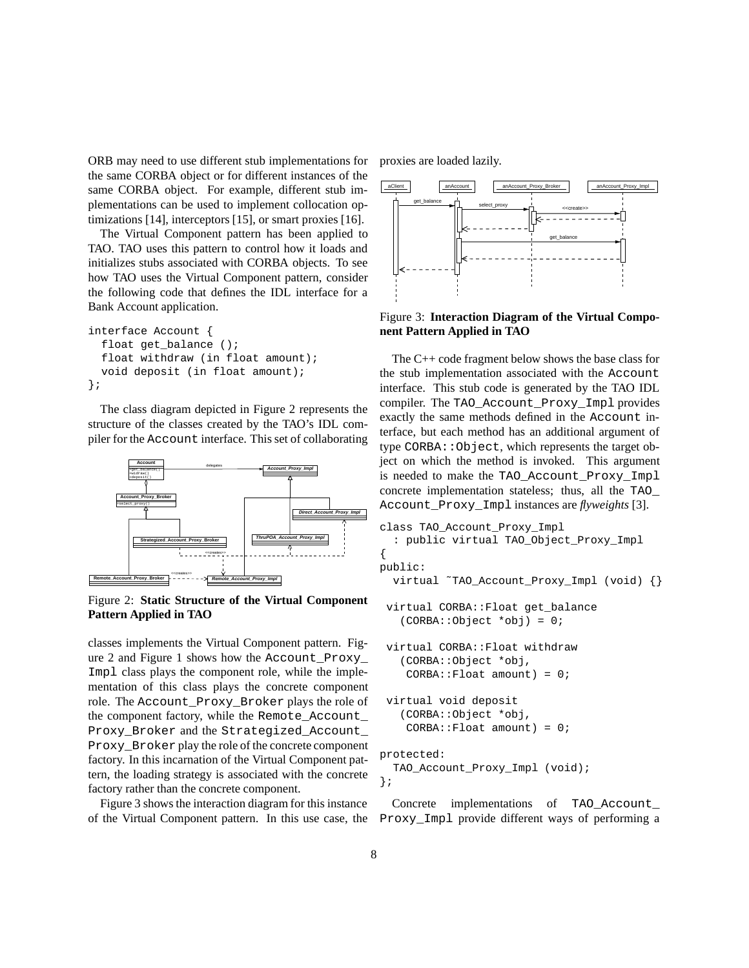ORB may need to use different stub implementations for the same CORBA object or for different instances of the same CORBA object. For example, different stub implementations can be used to implement collocation optimizations [14], interceptors [15], or smart proxies [16].

The Virtual Component pattern has been applied to TAO. TAO uses this pattern to control how it loads and initializes stubs associated with CORBA objects. To see how TAO uses the Virtual Component pattern, consider the following code that defines the IDL interface for a Bank Account application.

```
interface Account {
  float get_balance ();
  float withdraw (in float amount);
  void deposit (in float amount);
};
```
The class diagram depicted in Figure 2 represents the structure of the classes created by the TAO's IDL compiler for the Account interface. This set of collaborating



Figure 2: **Static Structure of the Virtual Component Pattern Applied in TAO**

classes implements the Virtual Component pattern. Figure 2 and Figure 1 shows how the Account\_Proxy\_ Impl class plays the component role, while the implementation of this class plays the concrete component role. The Account\_Proxy\_Broker plays the role of the component factory, while the Remote\_Account\_ Proxy\_Broker and the Strategized\_Account\_ Proxy\_Broker play the role of the concrete component factory. In this incarnation of the Virtual Component pattern, the loading strategy is associated with the concrete factory rather than the concrete component.

Figure 3 shows the interaction diagram for this instance

proxies are loaded lazily.



Figure 3: **Interaction Diagram of the Virtual Component Pattern Applied in TAO**

The C++ code fragment below shows the base class for the stub implementation associated with the Account interface. This stub code is generated by the TAO IDL compiler. The TAO\_Account\_Proxy\_Impl provides exactly the same methods defined in the Account interface, but each method has an additional argument of type CORBA::Object, which represents the target object on which the method is invoked. This argument is needed to make the TAO\_Account\_Proxy\_Impl concrete implementation stateless; thus, all the TAO\_ Account\_Proxy\_Impl instances are *flyweights* [3].

```
class TAO_Account_Proxy_Impl
  : public virtual TAO_Object_Proxy_Impl
{
public:
  virtual ˜TAO_Account_Proxy_Impl (void) {}
 virtual CORBA::Float get_balance
   (CORBA::Object *obj) = 0;
 virtual CORBA::Float withdraw
   (CORBA::Object *obj,
    CORBA::Float amount) = 0;virtual void deposit
   (CORBA::Object *obj,
    CORBA::Fload amount) = 0;protected:
  TAO_Account_Proxy_Impl (void);
};
```
of the Virtual Component pattern. In this use case, the Proxy\_Impl provide different ways of performing a Concrete implementations of TAO Account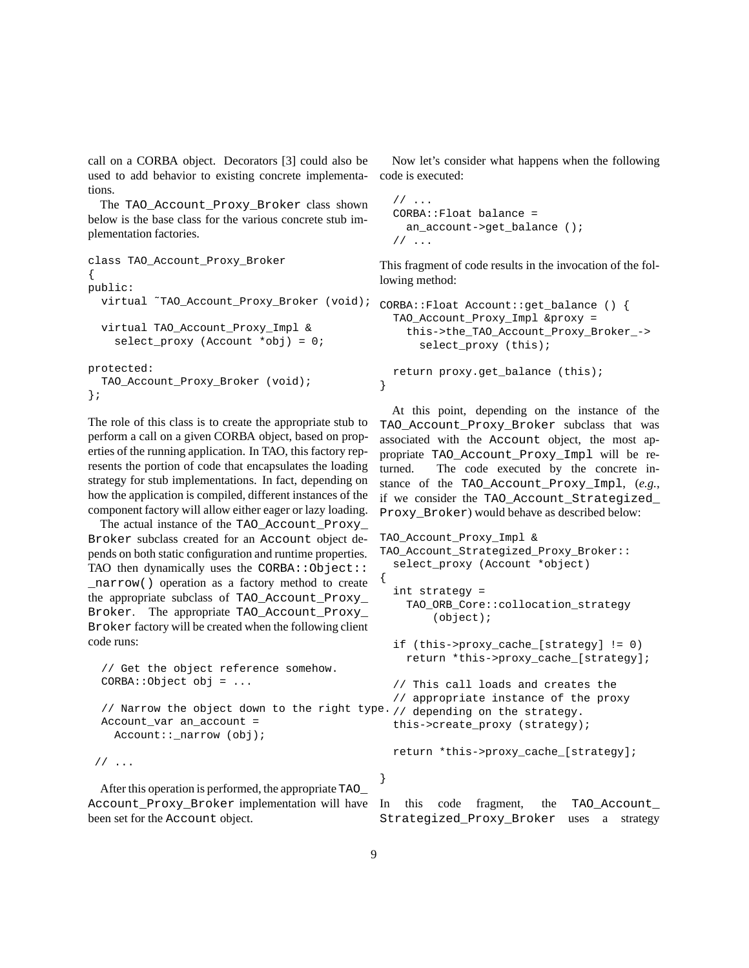call on a CORBA object. Decorators [3] could also be used to add behavior to existing concrete implementations.

The TAO\_Account\_Proxy\_Broker class shown below is the base class for the various concrete stub implementation factories.

```
class TAO_Account_Proxy_Broker
{
public:
  virtual ˜TAO_Account_Proxy_Broker (void);
  virtual TAO_Account_Proxy_Impl &
    select_proxy (Account *obj) = 0;
protected:
  TAO_Account_Proxy_Broker (void);
};
```
The role of this class is to create the appropriate stub to perform a call on a given CORBA object, based on properties of the running application. In TAO, this factory represents the portion of code that encapsulates the loading strategy for stub implementations. In fact, depending on how the application is compiled, different instances of the component factory will allow either eager or lazy loading.

The actual instance of the TAO\_Account\_Proxy\_ Broker subclass created for an Account object depends on both static configuration and runtime properties. TAO then dynamically uses the CORBA:: Object:: \_narrow() operation as a factory method to create the appropriate subclass of TAO\_Account\_Proxy\_ Broker. The appropriate TAO\_Account\_Proxy\_ Broker factory will be created when the following client code runs:

```
// Get the object reference somehow.
CORBA::Object obj = ...
// Narrow the object down to the right type.
// depending on the strategy.
Account_var an_account =
  Account::_narrow (obj);
```
// ...

After this operation is performed, the appropriate TAO Account\_Proxy\_Broker implementation will have been set for the Account object.

Now let's consider what happens when the following code is executed:

```
1/ ...
CORBA::Float balance =
  an account->get balance ();
// ...
```
This fragment of code results in the invocation of the following method:

```
CORBA::Float Account::get_balance () {
  TAO_Account_Proxy_Impl &proxy =
    this->the_TAO_Account_Proxy_Broker_->
      select proxy (this);
  return proxy.get_balance (this);
}
```
At this point, depending on the instance of the TAO\_Account\_Proxy\_Broker subclass that was associated with the Account object, the most appropriate TAO\_Account\_Proxy\_Impl will be returned. The code executed by the concrete instance of the TAO\_Account\_Proxy\_Impl, (*e.g.*, if we consider the TAO\_Account\_Strategized\_ Proxy\_Broker) would behave as described below:

```
TAO_Account_Proxy_Impl &
TAO_Account_Strategized_Proxy_Broker::
  select_proxy (Account *object)
{
  int strategy =
    TAO_ORB_Core::collocation_strategy
        (object);
  if (this->proxy_cache_[strategy] != 0)
    return *this->proxy_cache_[strategy];
  // This call loads and creates the
  // appropriate instance of the proxy
  this->create_proxy (strategy);
  return *this->proxy_cache_[strategy];
```
In this code fragment, the TAO Account Strategized\_Proxy\_Broker uses a strategy

}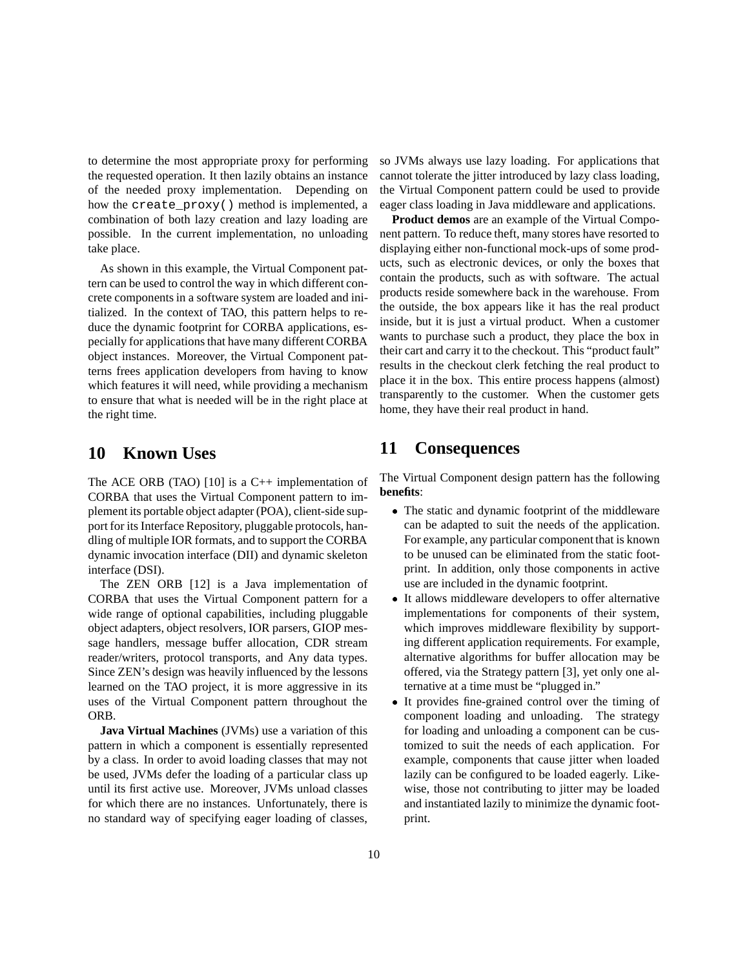to determine the most appropriate proxy for performing the requested operation. It then lazily obtains an instance of the needed proxy implementation. Depending on how the create\_proxy() method is implemented, a combination of both lazy creation and lazy loading are possible. In the current implementation, no unloading take place.

As shown in this example, the Virtual Component pattern can be used to control the way in which different concrete components in a software system are loaded and initialized. In the context of TAO, this pattern helps to reduce the dynamic footprint for CORBA applications, especially for applications that have many different CORBA object instances. Moreover, the Virtual Component patterns frees application developers from having to know which features it will need, while providing a mechanism to ensure that what is needed will be in the right place at the right time.

## **10 Known Uses**

The ACE ORB (TAO) [10] is a  $C++$  implementation of CORBA that uses the Virtual Component pattern to implement its portable object adapter (POA), client-side support for its Interface Repository, pluggable protocols, handling of multiple IOR formats, and to support the CORBA dynamic invocation interface (DII) and dynamic skeleton interface (DSI).

The ZEN ORB [12] is a Java implementation of CORBA that uses the Virtual Component pattern for a wide range of optional capabilities, including pluggable object adapters, object resolvers, IOR parsers, GIOP message handlers, message buffer allocation, CDR stream reader/writers, protocol transports, and Any data types. Since ZEN's design was heavily influenced by the lessons learned on the TAO project, it is more aggressive in its uses of the Virtual Component pattern throughout the ORB.

**Java Virtual Machines** (JVMs) use a variation of this pattern in which a component is essentially represented by a class. In order to avoid loading classes that may not be used, JVMs defer the loading of a particular class up until its first active use. Moreover, JVMs unload classes for which there are no instances. Unfortunately, there is no standard way of specifying eager loading of classes,

so JVMs always use lazy loading. For applications that cannot tolerate the jitter introduced by lazy class loading, the Virtual Component pattern could be used to provide eager class loading in Java middleware and applications.

**Product demos** are an example of the Virtual Component pattern. To reduce theft, many stores have resorted to displaying either non-functional mock-ups of some products, such as electronic devices, or only the boxes that contain the products, such as with software. The actual products reside somewhere back in the warehouse. From the outside, the box appears like it has the real product inside, but it is just a virtual product. When a customer wants to purchase such a product, they place the box in their cart and carry it to the checkout. This "product fault" results in the checkout clerk fetching the real product to place it in the box. This entire process happens (almost) transparently to the customer. When the customer gets home, they have their real product in hand.

## **11 Consequences**

The Virtual Component design pattern has the following **benefits**:

- The static and dynamic footprint of the middleware can be adapted to suit the needs of the application. For example, any particular component that is known to be unused can be eliminated from the static footprint. In addition, only those components in active use are included in the dynamic footprint.
- It allows middleware developers to offer alternative implementations for components of their system, which improves middleware flexibility by supporting different application requirements. For example, alternative algorithms for buffer allocation may be offered, via the Strategy pattern [3], yet only one alternative at a time must be "plugged in."
- It provides fine-grained control over the timing of component loading and unloading. The strategy for loading and unloading a component can be customized to suit the needs of each application. For example, components that cause jitter when loaded lazily can be configured to be loaded eagerly. Likewise, those not contributing to jitter may be loaded and instantiated lazily to minimize the dynamic footprint.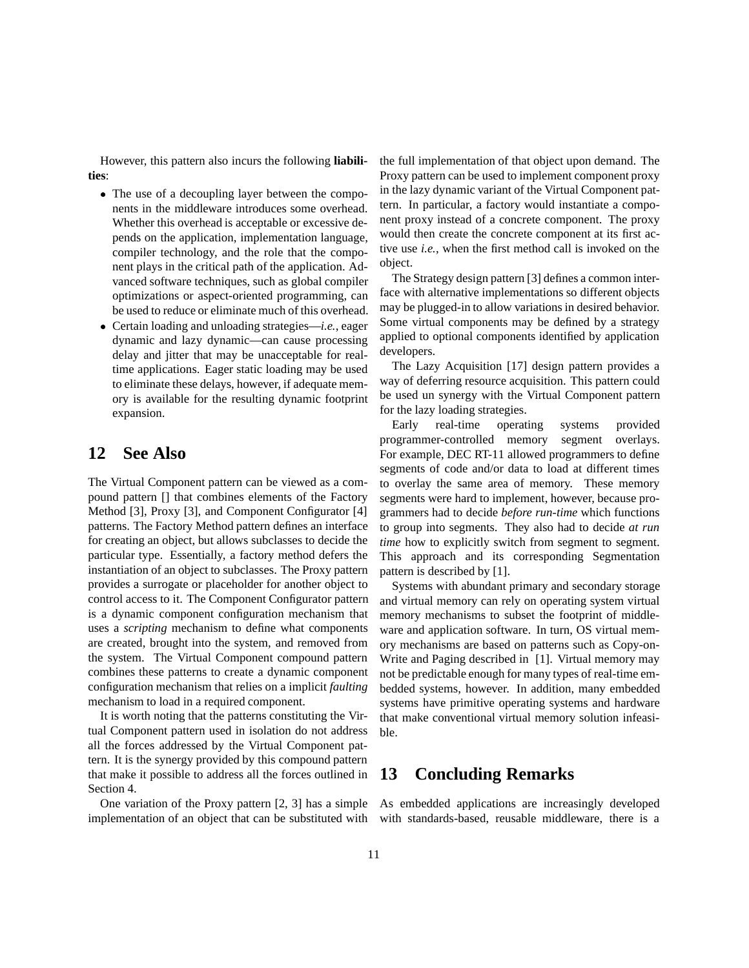However, this pattern also incurs the following **liabilities**:

- The use of a decoupling layer between the components in the middleware introduces some overhead. Whether this overhead is acceptable or excessive depends on the application, implementation language, compiler technology, and the role that the component plays in the critical path of the application. Advanced software techniques, such as global compiler optimizations or aspect-oriented programming, can be used to reduce or eliminate much of this overhead.
- Certain loading and unloading strategies—*i.e.*, eager dynamic and lazy dynamic—can cause processing delay and jitter that may be unacceptable for realtime applications. Eager static loading may be used to eliminate these delays, however, if adequate memory is available for the resulting dynamic footprint expansion.

### **12 See Also**

The Virtual Component pattern can be viewed as a compound pattern [] that combines elements of the Factory Method [3], Proxy [3], and Component Configurator [4] patterns. The Factory Method pattern defines an interface for creating an object, but allows subclasses to decide the particular type. Essentially, a factory method defers the instantiation of an object to subclasses. The Proxy pattern provides a surrogate or placeholder for another object to control access to it. The Component Configurator pattern is a dynamic component configuration mechanism that uses a *scripting* mechanism to define what components are created, brought into the system, and removed from the system. The Virtual Component compound pattern combines these patterns to create a dynamic component configuration mechanism that relies on a implicit *faulting* mechanism to load in a required component.

It is worth noting that the patterns constituting the Virtual Component pattern used in isolation do not address all the forces addressed by the Virtual Component pattern. It is the synergy provided by this compound pattern that make it possible to address all the forces outlined in Section 4.

One variation of the Proxy pattern [2, 3] has a simple implementation of an object that can be substituted with the full implementation of that object upon demand. The Proxy pattern can be used to implement component proxy in the lazy dynamic variant of the Virtual Component pattern. In particular, a factory would instantiate a component proxy instead of a concrete component. The proxy would then create the concrete component at its first active use *i.e.*, when the first method call is invoked on the object.

The Strategy design pattern [3] defines a common interface with alternative implementations so different objects may be plugged-in to allow variations in desired behavior. Some virtual components may be defined by a strategy applied to optional components identified by application developers.

The Lazy Acquisition [17] design pattern provides a way of deferring resource acquisition. This pattern could be used un synergy with the Virtual Component pattern for the lazy loading strategies.

Early real-time operating systems provided programmer-controlled memory segment overlays. For example, DEC RT-11 allowed programmers to define segments of code and/or data to load at different times to overlay the same area of memory. These memory segments were hard to implement, however, because programmers had to decide *before run-time* which functions to group into segments. They also had to decide *at run time* how to explicitly switch from segment to segment. This approach and its corresponding Segmentation pattern is described by [1].

Systems with abundant primary and secondary storage and virtual memory can rely on operating system virtual memory mechanisms to subset the footprint of middleware and application software. In turn, OS virtual memory mechanisms are based on patterns such as Copy-on-Write and Paging described in [1]. Virtual memory may not be predictable enough for many types of real-time embedded systems, however. In addition, many embedded systems have primitive operating systems and hardware that make conventional virtual memory solution infeasible.

## **13 Concluding Remarks**

As embedded applications are increasingly developed with standards-based, reusable middleware, there is a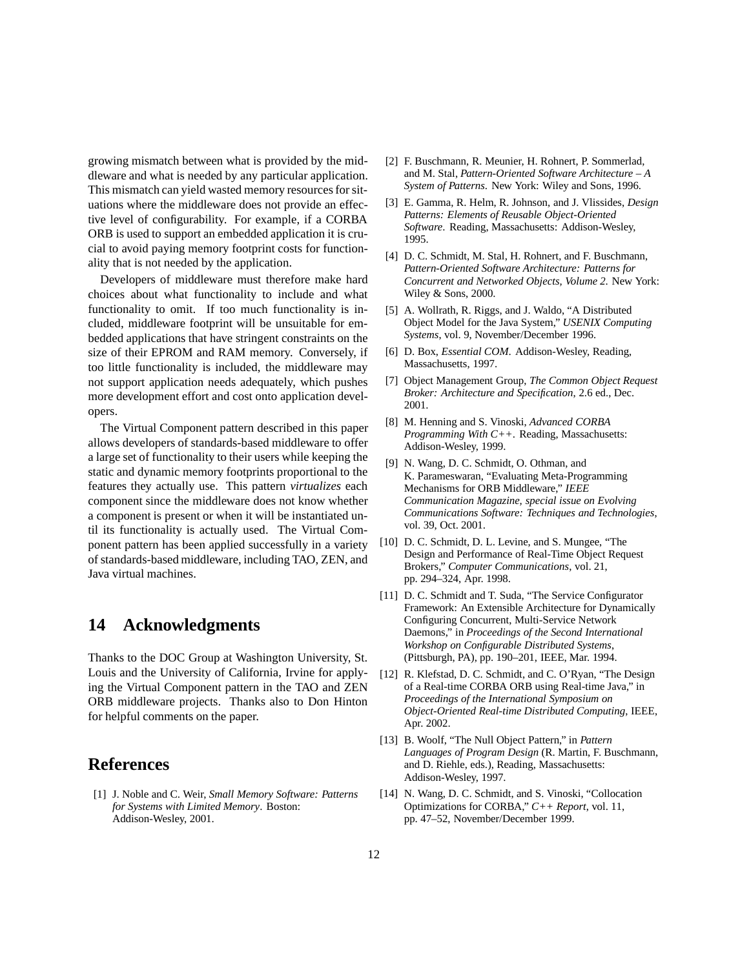growing mismatch between what is provided by the middleware and what is needed by any particular application. This mismatch can yield wasted memory resources for situations where the middleware does not provide an effective level of configurability. For example, if a CORBA ORB is used to support an embedded application it is crucial to avoid paying memory footprint costs for functionality that is not needed by the application.

Developers of middleware must therefore make hard choices about what functionality to include and what functionality to omit. If too much functionality is included, middleware footprint will be unsuitable for embedded applications that have stringent constraints on the size of their EPROM and RAM memory. Conversely, if too little functionality is included, the middleware may not support application needs adequately, which pushes more development effort and cost onto application developers.

The Virtual Component pattern described in this paper allows developers of standards-based middleware to offer a large set of functionality to their users while keeping the static and dynamic memory footprints proportional to the features they actually use. This pattern *virtualizes* each component since the middleware does not know whether a component is present or when it will be instantiated until its functionality is actually used. The Virtual Component pattern has been applied successfully in a variety of standards-based middleware, including TAO, ZEN, and Java virtual machines.

### **14 Acknowledgments**

Thanks to the DOC Group at Washington University, St. Louis and the University of California, Irvine for applying the Virtual Component pattern in the TAO and ZEN ORB middleware projects. Thanks also to Don Hinton for helpful comments on the paper.

## **References**

[1] J. Noble and C. Weir, *Small Memory Software: Patterns for Systems with Limited Memory*. Boston: Addison-Wesley, 2001.

- [2] F. Buschmann, R. Meunier, H. Rohnert, P. Sommerlad, and M. Stal, *Pattern-Oriented Software Architecture – A System of Patterns*. New York: Wiley and Sons, 1996.
- [3] E. Gamma, R. Helm, R. Johnson, and J. Vlissides, *Design Patterns: Elements of Reusable Object-Oriented Software*. Reading, Massachusetts: Addison-Wesley, 1995.
- [4] D. C. Schmidt, M. Stal, H. Rohnert, and F. Buschmann, *Pattern-Oriented Software Architecture: Patterns for Concurrent and Networked Objects, Volume 2*. New York: Wiley & Sons, 2000.
- [5] A. Wollrath, R. Riggs, and J. Waldo, "A Distributed Object Model for the Java System," *USENIX Computing Systems*, vol. 9, November/December 1996.
- [6] D. Box, *Essential COM*. Addison-Wesley, Reading, Massachusetts, 1997.
- [7] Object Management Group, *The Common Object Request Broker: Architecture and Specification*, 2.6 ed., Dec. 2001.
- [8] M. Henning and S. Vinoski, *Advanced CORBA Programming With C++*. Reading, Massachusetts: Addison-Wesley, 1999.
- [9] N. Wang, D. C. Schmidt, O. Othman, and K. Parameswaran, "Evaluating Meta-Programming Mechanisms for ORB Middleware," *IEEE Communication Magazine, special issue on Evolving Communications Software: Techniques and Technologies*, vol. 39, Oct. 2001.
- [10] D. C. Schmidt, D. L. Levine, and S. Mungee, "The Design and Performance of Real-Time Object Request Brokers," *Computer Communications*, vol. 21, pp. 294–324, Apr. 1998.
- [11] D. C. Schmidt and T. Suda, "The Service Configurator Framework: An Extensible Architecture for Dynamically Configuring Concurrent, Multi-Service Network Daemons," in *Proceedings of the Second International Workshop on Configurable Distributed Systems*, (Pittsburgh, PA), pp. 190–201, IEEE, Mar. 1994.
- [12] R. Klefstad, D. C. Schmidt, and C. O'Ryan, "The Design of a Real-time CORBA ORB using Real-time Java," in *Proceedings of the International Symposium on Object-Oriented Real-time Distributed Computing*, IEEE, Apr. 2002.
- [13] B. Woolf, "The Null Object Pattern," in *Pattern Languages of Program Design* (R. Martin, F. Buschmann, and D. Riehle, eds.), Reading, Massachusetts: Addison-Wesley, 1997.
- [14] N. Wang, D. C. Schmidt, and S. Vinoski, "Collocation Optimizations for CORBA," *C++ Report*, vol. 11, pp. 47–52, November/December 1999.